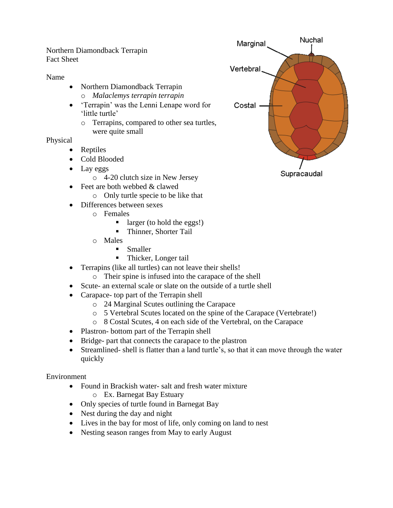Northern Diamondback Terrapin Fact Sheet

Name

- Northern Diamondback Terrapin o *Malaclemys terrapin terrapin*
- 'Terrapin' was the Lenni Lenape word for 'little turtle'
	- o Terrapins, compared to other sea turtles, were quite small

Physical

- Reptiles
- Cold Blooded
- Lay eggs
	- o 4-20 clutch size in New Jersey
- Feet are both webbed & clawed
	- o Only turtle specie to be like that
- Differences between sexes
	- o Females
		- $\blacksquare$  larger (to hold the eggs!)
		- **Thinner, Shorter Tail**
	- o Males
		- **Smaller**
		- **Thicker, Longer tail**
- Terrapins (like all turtles) can not leave their shells!
	- o Their spine is infused into the carapace of the shell
- Scute- an external scale or slate on the outside of a turtle shell
- Carapace- top part of the Terrapin shell
	- o 24 Marginal Scutes outlining the Carapace
	- o 5 Vertebral Scutes located on the spine of the Carapace (Vertebrate!)
	- o 8 Costal Scutes, 4 on each side of the Vertebral, on the Carapace
- Plastron- bottom part of the Terrapin shell
- Bridge- part that connects the carapace to the plastron
- Streamlined- shell is flatter than a land turtle's, so that it can move through the water quickly

Environment

- Found in Brackish water- salt and fresh water mixture
	- o Ex. Barnegat Bay Estuary
- Only species of turtle found in Barnegat Bay
- Nest during the day and night
- Lives in the bay for most of life, only coming on land to nest
- Nesting season ranges from May to early August